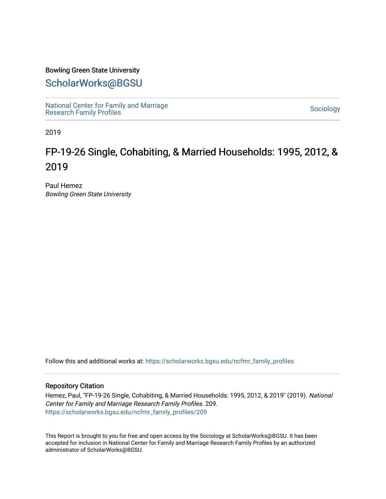## Bowling Green State University

# [ScholarWorks@BGSU](https://scholarworks.bgsu.edu/)

[National Center for Family and Marriage](https://scholarworks.bgsu.edu/ncfmr_family_profiles)  [Research Family Profiles](https://scholarworks.bgsu.edu/ncfmr_family_profiles) Sociology<br>Research Family Profiles

2019

# FP-19-26 Single, Cohabiting, & Married Households: 1995, 2012, & 2019

Paul Hemez Bowling Green State University

Follow this and additional works at: [https://scholarworks.bgsu.edu/ncfmr\\_family\\_profiles](https://scholarworks.bgsu.edu/ncfmr_family_profiles?utm_source=scholarworks.bgsu.edu%2Fncfmr_family_profiles%2F209&utm_medium=PDF&utm_campaign=PDFCoverPages)

### Repository Citation

Hemez, Paul, "FP-19-26 Single, Cohabiting, & Married Households: 1995, 2012, & 2019" (2019). National Center for Family and Marriage Research Family Profiles. 209. [https://scholarworks.bgsu.edu/ncfmr\\_family\\_profiles/209](https://scholarworks.bgsu.edu/ncfmr_family_profiles/209?utm_source=scholarworks.bgsu.edu%2Fncfmr_family_profiles%2F209&utm_medium=PDF&utm_campaign=PDFCoverPages) 

This Report is brought to you for free and open access by the Sociology at ScholarWorks@BGSU. It has been accepted for inclusion in National Center for Family and Marriage Research Family Profiles by an authorized administrator of ScholarWorks@BGSU.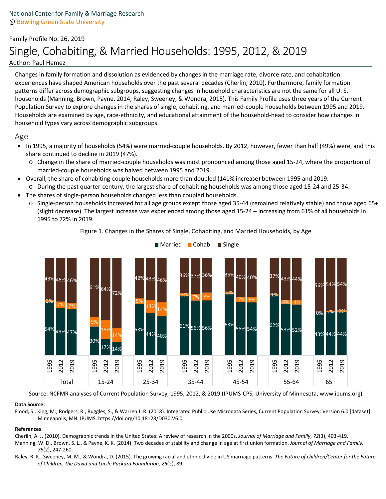# Family Profile No. 26, 2019 Single, Cohabiting, & Married Households: 1995, 2012, & 2019 Author: Paul Hemez

Changes in family formation and dissolution as evidenced by changes in the marriage rate, divorce rate, and cohabitation experiences have shaped American households over the past several decades (Cherlin, 2010). Furthermore, family formation patterns differ across demographic subgroups, suggesting changes in household characteristics are not the same for all U. S. households (Manning, Brown, Payne, 2014; Raley, Sweeney, & Wondra, 2015). This Family Profile uses three years of the Current Population Survey to explore changes in the shares of single, cohabiting, and married-couple households between 1995 and 2019. Households are examined by age, race-ethnicity, and educational attainment of the household-head to consider how changes in household types vary across demographic subgroups.

### Age

- In 1995, a majority of households (54%) were married-couple households. By 2012, however, fewer than half (49%) were, and this share continued to decline in 2019 (47%).
	- o Change in the share of married-couple households was most pronounced among those aged 15-24, where the proportion of married-couple households was halved between 1995 and 2019.
- Overall, the share of cohabiting-couple households more than doubled (141% increase) between 1995 and 2019. o During the past quarter-century, the largest share of cohabiting households was among those aged 15-24 and 25-34.
- The shares of single-person households changed less than coupled households.
	- o Single-person households increased for all age groups except those aged 35-44 (remained relatively stable) and those aged 65+ (slight decrease). The largest increase was experienced among those aged 15-24 – increasing from 61% of all households in 1995 to 72% in 2019.



Figure 1. Changes in the Shares of Single, Cohabiting, and Married Households, by Age

■ Married ■ Cohab. ■ Single

Source: NCFMR analyses of Current Population Survey, 1995, 2012, & 2019 (IPUMS-CPS, University of Minnesota, www.ipums.org)

#### **Data Source:**

Flood, S., King, M., Rodgers, R., Ruggles, S., & Warren J. R. (2018). Integrated Public Use Microdata Series, Current Population Survey: Version 6.0 [dataset]. Minneapolis, MN: IPUMS. https://doi.org/10.18128/D030.V6.0

#### **References**

Cherlin, A. J. (2010). Demographic trends in the United States: A review of research in the 2000s. *Journal of Marriage and Family, 72*(3), 403-419.

- Manning, W. D., Brown, S. L., & Payne, K. K. (2014). Two decades of stability and change in age at first union formation. *Journal of Marriage and Family, 76*(2), 247-260.
- Raley, R. K., Sweeney, M. M., & Wondra, D. (2015). The growing racial and ethnic divide in US marriage patterns. *The Future of children/Center for the Future of Children, the David and Lucile Packard Foundation, 25*(2), 89.